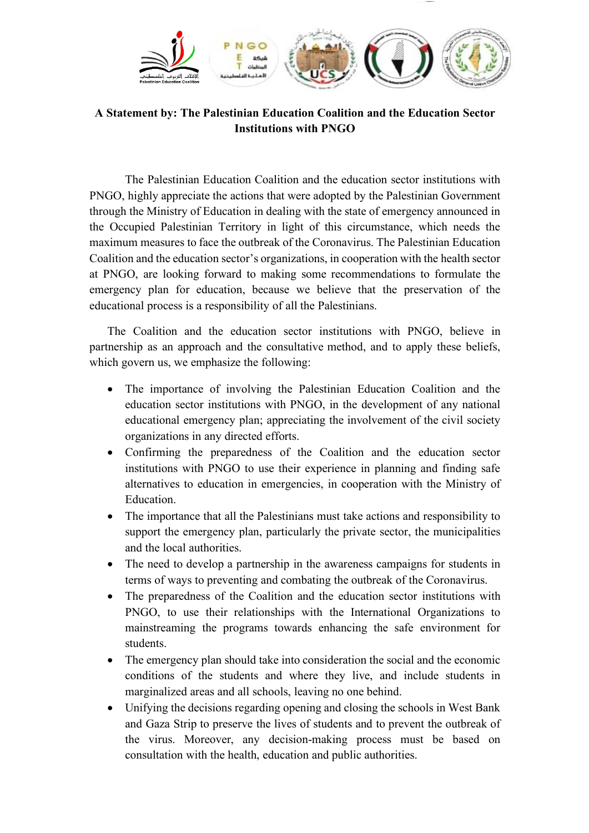

**A Statement by: The Palestinian Education Coalition and the Education Sector Institutions with PNGO**

The Palestinian Education Coalition and the education sector institutions with PNGO, highly appreciate the actions that were adopted by the Palestinian Government through the Ministry of Education in dealing with the state of emergency announced in the Occupied Palestinian Territory in light of this circumstance, which needs the maximum measures to face the outbreak of the Coronavirus. The Palestinian Education Coalition and the education sector's organizations, in cooperation with the health sector at PNGO, are looking forward to making some recommendations to formulate the emergency plan for education, because we believe that the preservation of the educational process is a responsibility of all the Palestinians.

The Coalition and the education sector institutions with PNGO, believe in partnership as an approach and the consultative method, and to apply these beliefs, which govern us, we emphasize the following:

- The importance of involving the Palestinian Education Coalition and the education sector institutions with PNGO, in the development of any national educational emergency plan; appreciating the involvement of the civil society organizations in any directed efforts.
- Confirming the preparedness of the Coalition and the education sector institutions with PNGO to use their experience in planning and finding safe alternatives to education in emergencies, in cooperation with the Ministry of Education.
- The importance that all the Palestinians must take actions and responsibility to support the emergency plan, particularly the private sector, the municipalities and the local authorities.
- The need to develop a partnership in the awareness campaigns for students in terms of ways to preventing and combating the outbreak of the Coronavirus.
- The preparedness of the Coalition and the education sector institutions with PNGO, to use their relationships with the International Organizations to mainstreaming the programs towards enhancing the safe environment for students.
- The emergency plan should take into consideration the social and the economic conditions of the students and where they live, and include students in marginalized areas and all schools, leaving no one behind.
- Unifying the decisions regarding opening and closing the schools in West Bank and Gaza Strip to preserve the lives of students and to prevent the outbreak of the virus. Moreover, any decision-making process must be based on consultation with the health, education and public authorities.